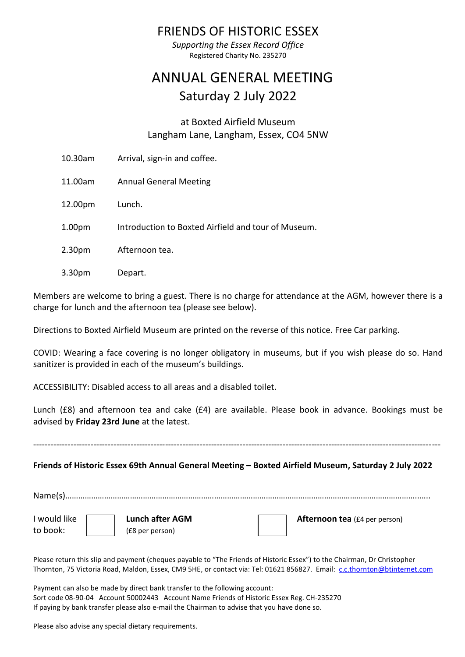# FRIENDS OF HISTORIC ESSEX

*Supporting the Essex Record Office* Registered Charity No. 235270

# ANNUAL GENERAL MEETING Saturday 2 July 2022

at Boxted Airfield Museum Langham Lane, Langham, Essex, CO4 5NW

| 10.30am            | Arrival, sign-in and coffee.                        |
|--------------------|-----------------------------------------------------|
| 11.00am            | <b>Annual General Meeting</b>                       |
| 12.00pm            | Lunch.                                              |
| 1.00 <sub>pm</sub> | Introduction to Boxted Airfield and tour of Museum. |
| 2.30 <sub>pm</sub> | Afternoon tea.                                      |
| 3.30pm             | Depart.                                             |

Members are welcome to bring a guest. There is no charge for attendance at the AGM, however there is a charge for lunch and the afternoon tea (please see below).

Directions to Boxted Airfield Museum are printed on the reverse of this notice. Free Car parking.

COVID: Wearing a face covering is no longer obligatory in museums, but if you wish please do so. Hand sanitizer is provided in each of the museum's buildings.

ACCESSIBILITY: Disabled access to all areas and a disabled toilet.

Lunch (£8) and afternoon tea and cake (£4) are available. Please book in advance. Bookings must be advised by **Friday 23rd June** at the latest.

**Friends of Historic Essex 69th Annual General Meeting – Boxted Airfield Museum, Saturday 2 July 2022**

----------------------------------------------------------------------------------------------------------------------------------------------

Name(s)………………………………………………………………………………………………………………………………………………..…..

to book: (£8 per person)



Please return this slip and payment (cheques payable to "The Friends of Historic Essex") to the Chairman, Dr Christopher Thornton, 75 Victoria Road, Maldon, Essex, CM9 5HE, or contact via: Tel: 01621 856827. Email: [c.c.thornton@btinternet.com](mailto:c.c.thornton@btinternet.com)

Payment can also be made by direct bank transfer to the following account: Sort code 08-90-04 Account 50002443 Account Name Friends of Historic Essex Reg. CH-235270 If paying by bank transfer please also e-mail the Chairman to advise that you have done so.

Please also advise any special dietary requirements.